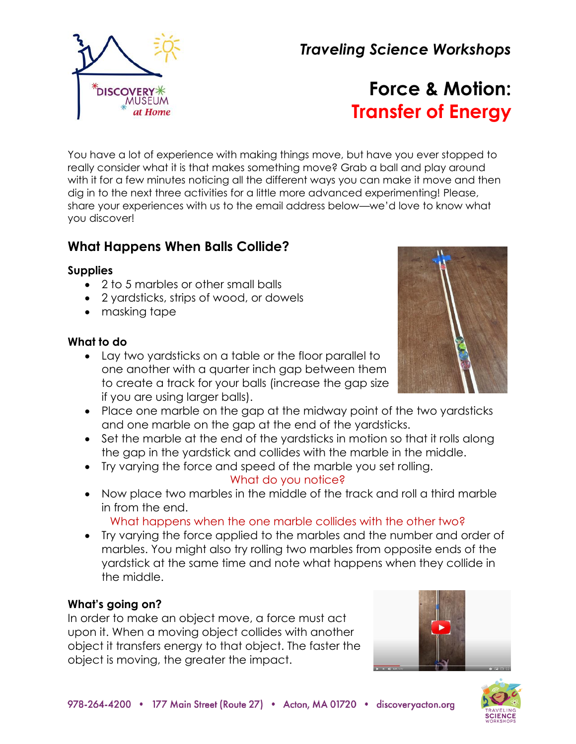*Traveling Science Workshops*



# **Force & Motion: Transfer of Energy**

You have a lot of experience with making things move, but have you ever stopped to really consider what it is that makes something move? Grab a ball and play around with it for a few minutes noticing all the different ways you can make it move and then dig in to the next three activities for a little more advanced experimenting! Please, share your experiences with us to the email address below—we'd love to know what you discover!

# **What Happens When Balls Collide?**

#### **Supplies**

- 2 to 5 marbles or other small balls
- 2 yardsticks, strips of wood, or dowels
- masking tape

#### **What to do**

- Lay two yardsticks on a table or the floor parallel to one another with a quarter inch gap between them to create a track for your balls (increase the gap size if you are using larger balls).
- Place one marble on the gap at the midway point of the two yardsticks and one marble on the gap at the end of the yardsticks.
- Set the marble at the end of the yardsticks in motion so that it rolls along the gap in the yardstick and collides with the marble in the middle.
- Try varying the force and speed of the marble you set rolling.

# What do you notice?

• Now place two marbles in the middle of the track and roll a third marble in from the end.

What happens when the one marble collides with the other two?

• Try varying the force applied to the marbles and the number and order of marbles. You might also try rolling two marbles from opposite ends of the yardstick at the same time and note what happens when they collide in the middle.

# **What's going on?**

In order to make an object move, a force must act upon it. When a moving object collides with another object it transfers energy to that object. The faster the object is moving, the greater the impact.





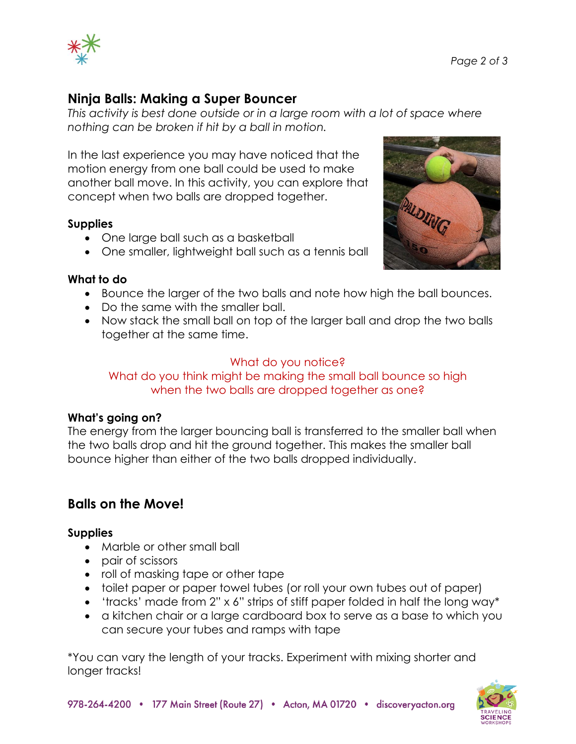

# **Ninja Balls: Making a Super Bouncer**

*This activity is best done outside or in a large room with a lot of space where nothing can be broken if hit by a ball in motion.*

In the last experience you may have noticed that the motion energy from one ball could be used to make another ball move. In this activity, you can explore that concept when two balls are dropped together.

#### **Supplies**

- One large ball such as a basketball
- One smaller, lightweight ball such as a tennis ball



#### **What to do**

- Bounce the larger of the two balls and note how high the ball bounces.
- Do the same with the smaller ball.
- Now stack the small ball on top of the larger ball and drop the two balls together at the same time.

#### What do you notice?

#### What do you think might be making the small ball bounce so high when the two balls are dropped together as one?

#### **What's going on?**

The energy from the larger bouncing ball is transferred to the smaller ball when the two balls drop and hit the ground together. This makes the smaller ball bounce higher than either of the two balls dropped individually.

# **Balls on the Move!**

#### **Supplies**

- Marble or other small ball
- pair of scissors
- roll of masking tape or other tape
- toilet paper or paper towel tubes (or roll your own tubes out of paper)
- 'tracks' made from 2" x 6" strips of stiff paper folded in half the long way\*
- a kitchen chair or a large cardboard box to serve as a base to which you can secure your tubes and ramps with tape

\*You can vary the length of your tracks. Experiment with mixing shorter and longer tracks!